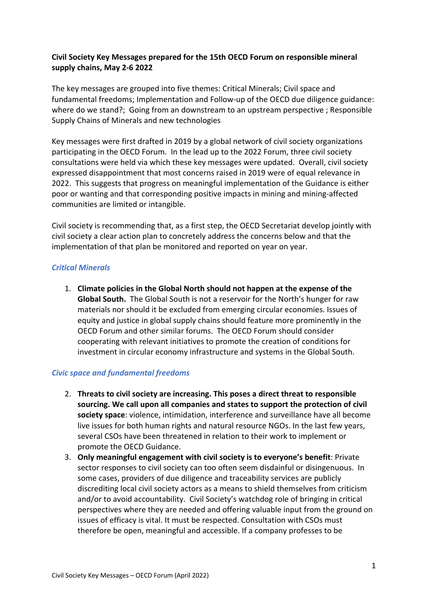# **Civil Society Key Messages prepared for the 15th OECD Forum on responsible mineral supply chains, May 2-6 2022**

The key messages are grouped into five themes: Critical Minerals; Civil space and fundamental freedoms; Implementation and Follow-up of the OECD due diligence guidance: where do we stand?; Going from an downstream to an upstream perspective ; Responsible Supply Chains of Minerals and new technologies

Key messages were first drafted in 2019 by a global network of civil society organizations participating in the OECD Forum. In the lead up to the 2022 Forum, three civil society consultations were held via which these key messages were updated. Overall, civil society expressed disappointment that most concerns raised in 2019 were of equal relevance in 2022. This suggests that progress on meaningful implementation of the Guidance is either poor or wanting and that corresponding positive impacts in mining and mining-affected communities are limited or intangible.

Civil society is recommending that, as a first step, the OECD Secretariat develop jointly with civil society a clear action plan to concretely address the concerns below and that the implementation of that plan be monitored and reported on year on year.

### *Critical Minerals*

1. **Climate policies in the Global North should not happen at the expense of the Global South.** The Global South is not a reservoir for the North's hunger for raw materials nor should it be excluded from emerging circular economies. Issues of equity and justice in global supply chains should feature more prominently in the OECD Forum and other similar forums. The OECD Forum should consider cooperating with relevant initiatives to promote the creation of conditions for investment in circular economy infrastructure and systems in the Global South.

## *Civic space and fundamental freedoms*

- 2. **Threats to civil society are increasing. This poses a direct threat to responsible sourcing. We call upon all companies and states to support the protection of civil society space**: violence, intimidation, interference and surveillance have all become live issues for both human rights and natural resource NGOs. In the last few years, several CSOs have been threatened in relation to their work to implement or promote the OECD Guidance.
- 3. **Only meaningful engagement with civil society is to everyone's benefit**: Private sector responses to civil society can too often seem disdainful or disingenuous. In some cases, providers of due diligence and traceability services are publicly discrediting local civil society actors as a means to shield themselves from criticism and/or to avoid accountability. Civil Society's watchdog role of bringing in critical perspectives where they are needed and offering valuable input from the ground on issues of efficacy is vital. It must be respected. Consultation with CSOs must therefore be open, meaningful and accessible. If a company professes to be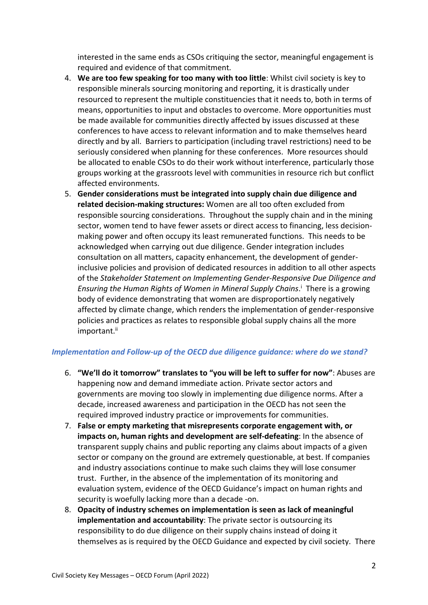interested in the same ends as CSOs critiquing the sector, meaningful engagement is required and evidence of that commitment*.*

- 4. **We are too few speaking for too many with too little**: Whilst civil society is key to responsible minerals sourcing monitoring and reporting, it is drastically under resourced to represent the multiple constituencies that it needs to, both in terms of means, opportunities to input and obstacles to overcome. More opportunities must be made available for communities directly affected by issues discussed at these conferences to have access to relevant information and to make themselves heard directly and by all. Barriers to participation (including travel restrictions) need to be seriously considered when planning for these conferences. More resources should be allocated to enable CSOs to do their work without interference, particularly those groups working at the grassroots level with communities in resource rich but conflict affected environments.
- 5. **Gender considerations must be integrated into supply chain due diligence and related decision-making structures:** Women are all too often excluded from responsible sourcing considerations. Throughout the supply chain and in the mining sector, women tend to have fewer assets or direct access to financing, less decisionmaking power and often occupy its least remunerated functions. This needs to be acknowledged when carrying out due diligence. Gender integration includes consultation on all matters, capacity enhancement, the development of genderinclusive policies and provision of dedicated resources in addition to all other aspects of the *Stakeholder Statement on Implementing Gender-Responsive Due Diligence and Ensuring the Human Rights of Women in Mineral Supply Chains*. <sup>i</sup> There is a growing body of evidence demonstrating that women are disproportionately negatively affected by climate change, which renders the implementation of gender-responsive policies and practices as relates to responsible global supply chains all the more important.<sup>ii</sup>

### *Implementation and Follow-up of the OECD due diligence guidance: where do we stand?*

- 6. **"We'll do it tomorrow" translates to "you will be left to suffer for now"**: Abuses are happening now and demand immediate action. Private sector actors and governments are moving too slowly in implementing due diligence norms. After a decade, increased awareness and participation in the OECD has not seen the required improved industry practice or improvements for communities.
- 7. **False or empty marketing that misrepresents corporate engagement with, or impacts on, human rights and development are self-defeating**: In the absence of transparent supply chains and public reporting any claims about impacts of a given sector or company on the ground are extremely questionable, at best. If companies and industry associations continue to make such claims they will lose consumer trust. Further, in the absence of the implementation of its monitoring and evaluation system, evidence of the OECD Guidance's impact on human rights and security is woefully lacking more than a decade -on.
- 8. **Opacity of industry schemes on implementation is seen as lack of meaningful implementation and accountability**: The private sector is outsourcing its responsibility to do due diligence on their supply chains instead of doing it themselves as is required by the OECD Guidance and expected by civil society. There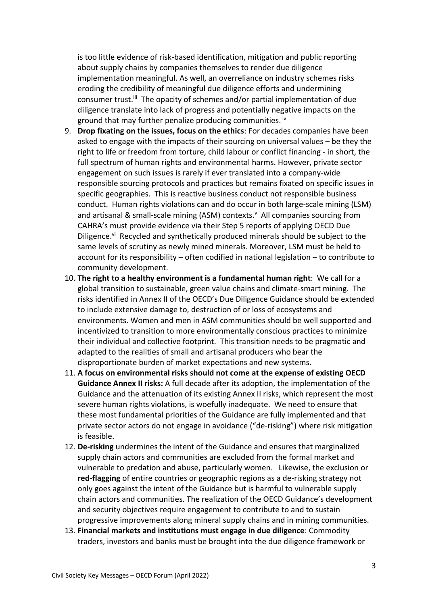is too little evidence of risk-based identification, mitigation and public reporting about supply chains by companies themselves to render due diligence implementation meaningful. As well, an overreliance on industry schemes risks eroding the credibility of meaningful due diligence efforts and undermining consumer trust.<sup>iii</sup> The opacity of schemes and/or partial implementation of due diligence translate into lack of progress and potentially negative impacts on the ground that may further penalize producing communities. <sup>iv</sup>

- 9. **Drop fixating on the issues, focus on the ethics**: For decades companies have been asked to engage with the impacts of their sourcing on universal values – be they the right to life or freedom from torture, child labour or conflict financing - in short, the full spectrum of human rights and environmental harms. However, private sector engagement on such issues is rarely if ever translated into a company-wide responsible sourcing protocols and practices but remains fixated on specific issues in specific geographies. This is reactive business conduct not responsible business conduct. Human rights violations can and do occur in both large-scale mining (LSM) and artisanal & small-scale mining (ASM) contexts.<sup>V</sup> All companies sourcing from CAHRA's must provide evidence via their Step 5 reports of applying OECD Due Diligence. $v_i$  Recycled and synthetically produced minerals should be subject to the same levels of scrutiny as newly mined minerals. Moreover, LSM must be held to account for its responsibility – often codified in national legislation – to contribute to community development.
- 10. **The right to a healthy environment is a fundamental human right**: We call for a global transition to sustainable, green value chains and climate-smart mining. The risks identified in Annex II of the OECD's Due Diligence Guidance should be extended to include extensive damage to, destruction of or loss of ecosystems and environments. Women and men in ASM communities should be well supported and incentivized to transition to more environmentally conscious practices to minimize their individual and collective footprint. This transition needs to be pragmatic and adapted to the realities of small and artisanal producers who bear the disproportionate burden of market expectations and new systems.
- 11. **A focus on environmental risks should not come at the expense of existing OECD Guidance Annex II risks:** A full decade after its adoption, the implementation of the Guidance and the attenuation of its existing Annex II risks, which represent the most severe human rights violations, is woefully inadequate. We need to ensure that these most fundamental priorities of the Guidance are fully implemented and that private sector actors do not engage in avoidance ("de-risking") where risk mitigation is feasible.
- 12. **De-risking** undermines the intent of the Guidance and ensures that marginalized supply chain actors and communities are excluded from the formal market and vulnerable to predation and abuse, particularly women. Likewise, the exclusion or **red-flagging** of entire countries or geographic regions as a de-risking strategy not only goes against the intent of the Guidance but is harmful to vulnerable supply chain actors and communities. The realization of the OECD Guidance's development and security objectives require engagement to contribute to and to sustain progressive improvements along mineral supply chains and in mining communities.
- 13. **Financial markets and institutions must engage in due diligence**: Commodity traders, investors and banks must be brought into the due diligence framework or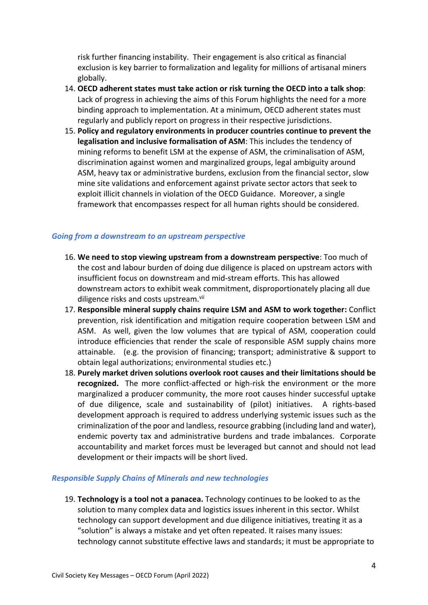risk further financing instability. Their engagement is also critical as financial exclusion is key barrier to formalization and legality for millions of artisanal miners globally.

- 14. **OECD adherent states must take action or risk turning the OECD into a talk shop**: Lack of progress in achieving the aims of this Forum highlights the need for a more binding approach to implementation. At a minimum, OECD adherent states must regularly and publicly report on progress in their respective jurisdictions.
- 15. **Policy and regulatory environments in producer countries continue to prevent the legalisation and inclusive formalisation of ASM**: This includes the tendency of mining reforms to benefit LSM at the expense of ASM, the criminalisation of ASM, discrimination against women and marginalized groups, legal ambiguity around ASM, heavy tax or administrative burdens, exclusion from the financial sector, slow mine site validations and enforcement against private sector actors that seek to exploit illicit channels in violation of the OECD Guidance. Moreover, a single framework that encompasses respect for all human rights should be considered.

#### *Going from a downstream to an upstream perspective*

- 16. **We need to stop viewing upstream from a downstream perspective**: Too much of the cost and labour burden of doing due diligence is placed on upstream actors with insufficient focus on downstream and mid-stream efforts. This has allowed downstream actors to exhibit weak commitment, disproportionately placing all due diligence risks and costs upstream.<sup>vii</sup>
- 17. **Responsible mineral supply chains require LSM and ASM to work together:** Conflict prevention, risk identification and mitigation require cooperation between LSM and ASM. As well, given the low volumes that are typical of ASM, cooperation could introduce efficiencies that render the scale of responsible ASM supply chains more attainable. (e.g. the provision of financing; transport; administrative & support to obtain legal authorizations; environmental studies etc.)
- 18. **Purely market driven solutions overlook root causes and their limitations should be recognized.** The more conflict-affected or high-risk the environment or the more marginalized a producer community, the more root causes hinder successful uptake of due diligence, scale and sustainability of (pilot) initiatives. A rights-based development approach is required to address underlying systemic issues such as the criminalization of the poor and landless, resource grabbing (including land and water), endemic poverty tax and administrative burdens and trade imbalances. Corporate accountability and market forces must be leveraged but cannot and should not lead development or their impacts will be short lived.

#### *Responsible Supply Chains of Minerals and new technologies*

19. **Technology is a tool not a panacea.** Technology continues to be looked to as the solution to many complex data and logistics issues inherent in this sector. Whilst technology can support development and due diligence initiatives, treating it as a "solution" is always a mistake and yet often repeated. It raises many issues: technology cannot substitute effective laws and standards; it must be appropriate to